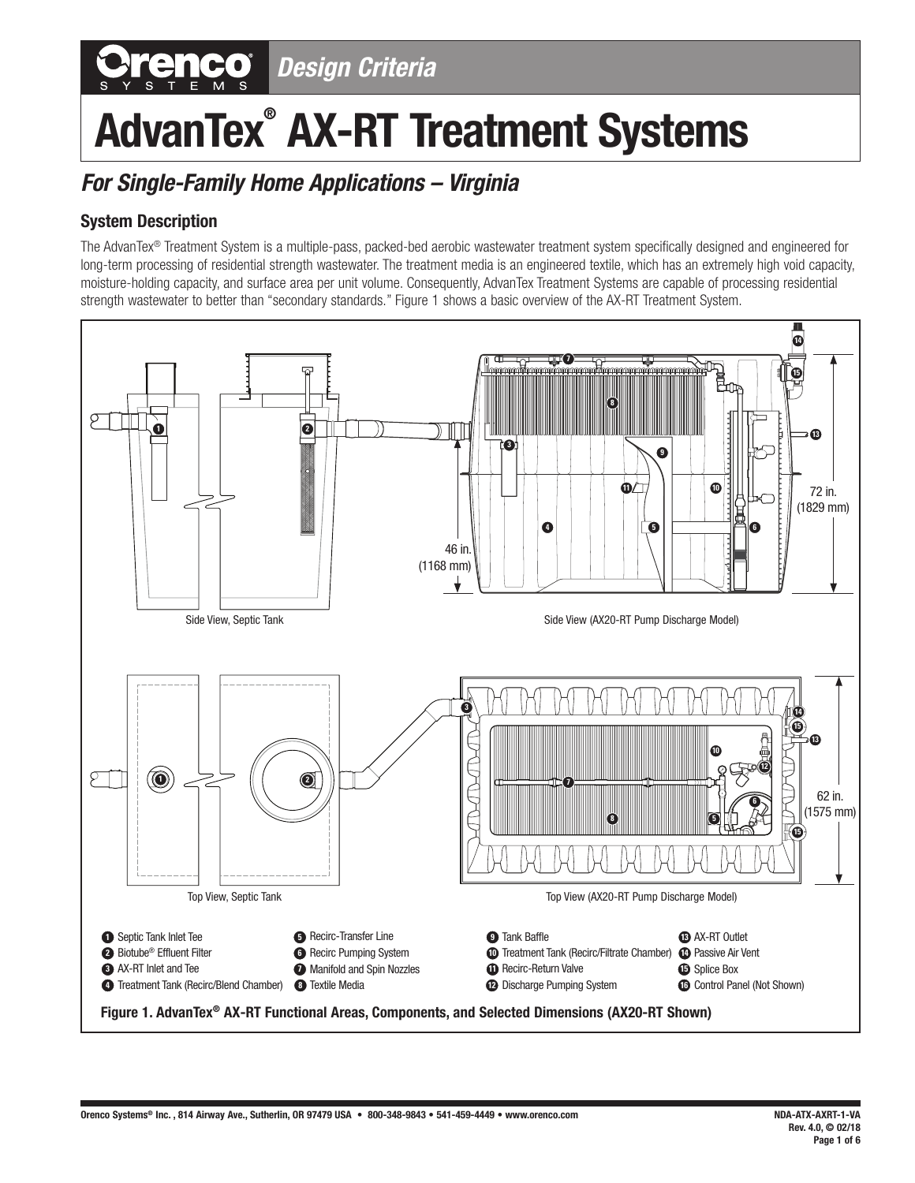# *Design Criteria*

# **AdvanTex® AX-RT Treatment Systems**

# *For Single-Family Home Applications – Virginia*

# **System Description**

The AdvanTex® Treatment System is a multiple-pass, packed-bed aerobic wastewater treatment system specifically designed and engineered for long-term processing of residential strength wastewater. The treatment media is an engineered textile, which has an extremely high void capacity, moisture-holding capacity, and surface area per unit volume. Consequently, AdvanTex Treatment Systems are capable of processing residential strength wastewater to better than "secondary standards." Figure 1 shows a basic overview of the AX-RT Treatment System.

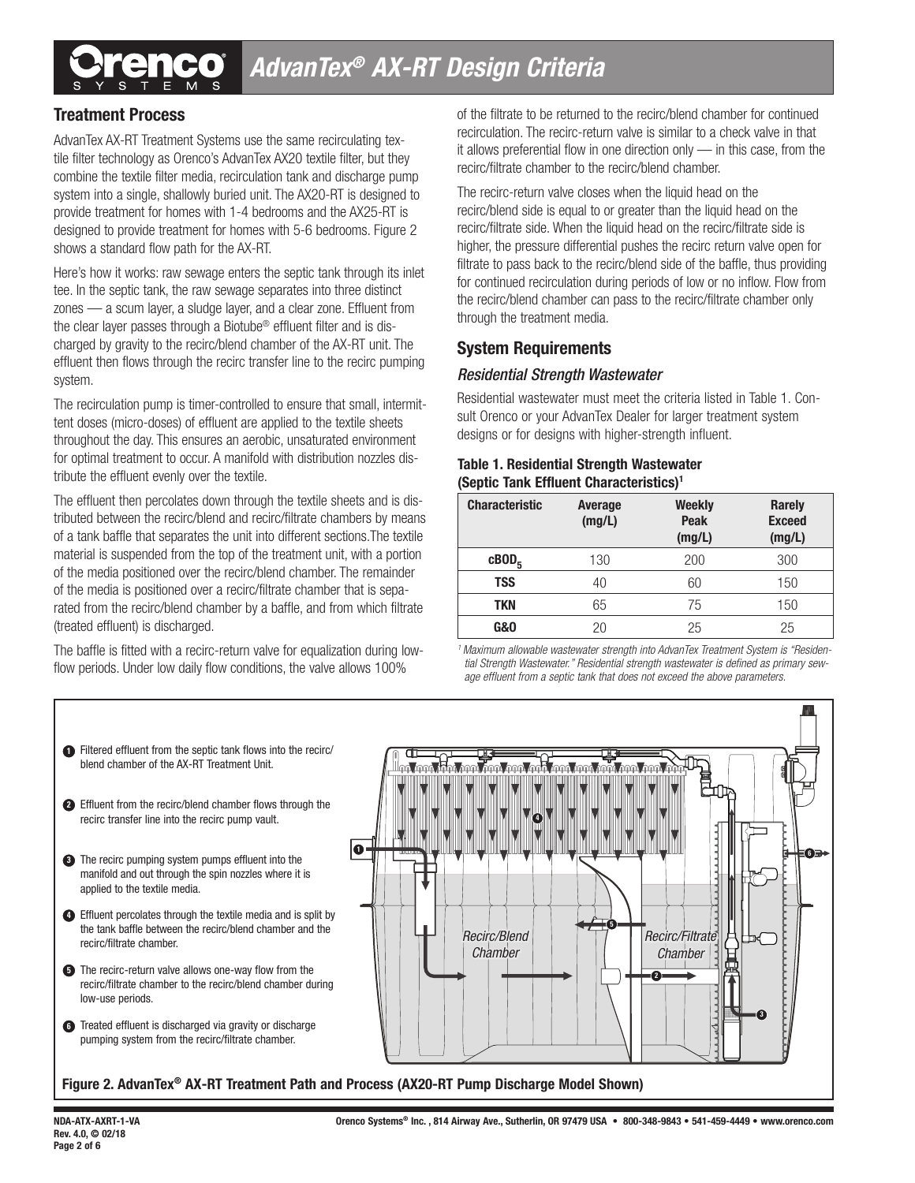

## **Treatment Process**

AdvanTex AX-RT Treatment Systems use the same recirculating textile filter technology as Orenco's AdvanTex AX20 textile filter, but they combine the textile filter media, recirculation tank and discharge pump system into a single, shallowly buried unit. The AX20-RT is designed to provide treatment for homes with 1-4 bedrooms and the AX25-RT is designed to provide treatment for homes with 5-6 bedrooms. Figure 2 shows a standard flow path for the AX-RT.

Here's how it works: raw sewage enters the septic tank through its inlet tee. In the septic tank, the raw sewage separates into three distinct zones — a scum layer, a sludge layer, and a clear zone. Effluent from the clear layer passes through a Biotube® effluent filter and is discharged by gravity to the recirc/blend chamber of the AX-RT unit. The effluent then flows through the recirc transfer line to the recirc pumping system.

The recirculation pump is timer-controlled to ensure that small, intermittent doses (micro-doses) of effluent are applied to the textile sheets throughout the day. This ensures an aerobic, unsaturated environment for optimal treatment to occur. A manifold with distribution nozzles distribute the effluent evenly over the textile.

The effluent then percolates down through the textile sheets and is distributed between the recirc/blend and recirc/filtrate chambers by means of a tank baffle that separates the unit into different sections.The textile material is suspended from the top of the treatment unit, with a portion of the media positioned over the recirc/blend chamber. The remainder of the media is positioned over a recirc/filtrate chamber that is separated from the recirc/blend chamber by a baffle, and from which filtrate (treated effluent) is discharged.

The baffle is fitted with a recirc-return valve for equalization during lowflow periods. Under low daily flow conditions, the valve allows 100%

of the filtrate to be returned to the recirc/blend chamber for continued recirculation. The recirc-return valve is similar to a check valve in that it allows preferential flow in one direction only — in this case, from the recirc/filtrate chamber to the recirc/blend chamber.

The recirc-return valve closes when the liquid head on the recirc/blend side is equal to or greater than the liquid head on the recirc/filtrate side. When the liquid head on the recirc/filtrate side is higher, the pressure differential pushes the recirc return valve open for filtrate to pass back to the recirc/blend side of the baffle, thus providing for continued recirculation during periods of low or no inflow. Flow from the recirc/blend chamber can pass to the recirc/filtrate chamber only through the treatment media.

#### **System Requirements**

#### *Residential Strength Wastewater*

Residential wastewater must meet the criteria listed in Table 1. Consult Orenco or your AdvanTex Dealer for larger treatment system designs or for designs with higher-strength influent.

#### **Table 1. Residential Strength Wastewater (Septic Tank Effluent Characteristics)1**

| <b>Characteristic</b> | Average<br>(mg/L) | <b>Weekly</b><br><b>Peak</b><br>(mg/L) | <b>Rarely</b><br><b>Exceed</b><br>(mg/L) |
|-----------------------|-------------------|----------------------------------------|------------------------------------------|
| $c\text{BOD}_5$       | 130               | 200                                    | 300                                      |
| <b>TSS</b>            | 40                | 60                                     | 150                                      |
| TKN                   | 65                | 75                                     | 150                                      |
| <b>G&amp;O</b>        | 20                | 25                                     | 25                                       |

*1 Maximum allowable wastewater strength into AdvanTex Treatment System is "Residential Strength Wastewater." Residential strength wastewater is defined as primary sewage effluent from a septic tank that does not exceed the above parameters.*



#### **1** Filtered effluent from the septic tank flows into the recirc/ blend chamber of the AX-RT Treatment Unit.

- Effluent from the recirc/blend chamber flows through the **2** recirc transfer line into the recirc pump vault.
- **3** The recirc pumping system pumps effluent into the manifold and out through the spin nozzles where it is applied to the textile media.
- Effluent percolates through the textile media and is split by **4** the tank baffle between the recirc/blend chamber and the recirc/filtrate chamber.
- **5** The recirc-return valve allows one-way flow from the recirc/filtrate chamber to the recirc/blend chamber during low-use periods.
- **6** Treated effluent is discharged via gravity or discharge pumping system from the recirc/filtrate chamber.

**Figure 2. AdvanTex® AX-RT Treatment Path and Process (AX20-RT Pump Discharge Model Shown)**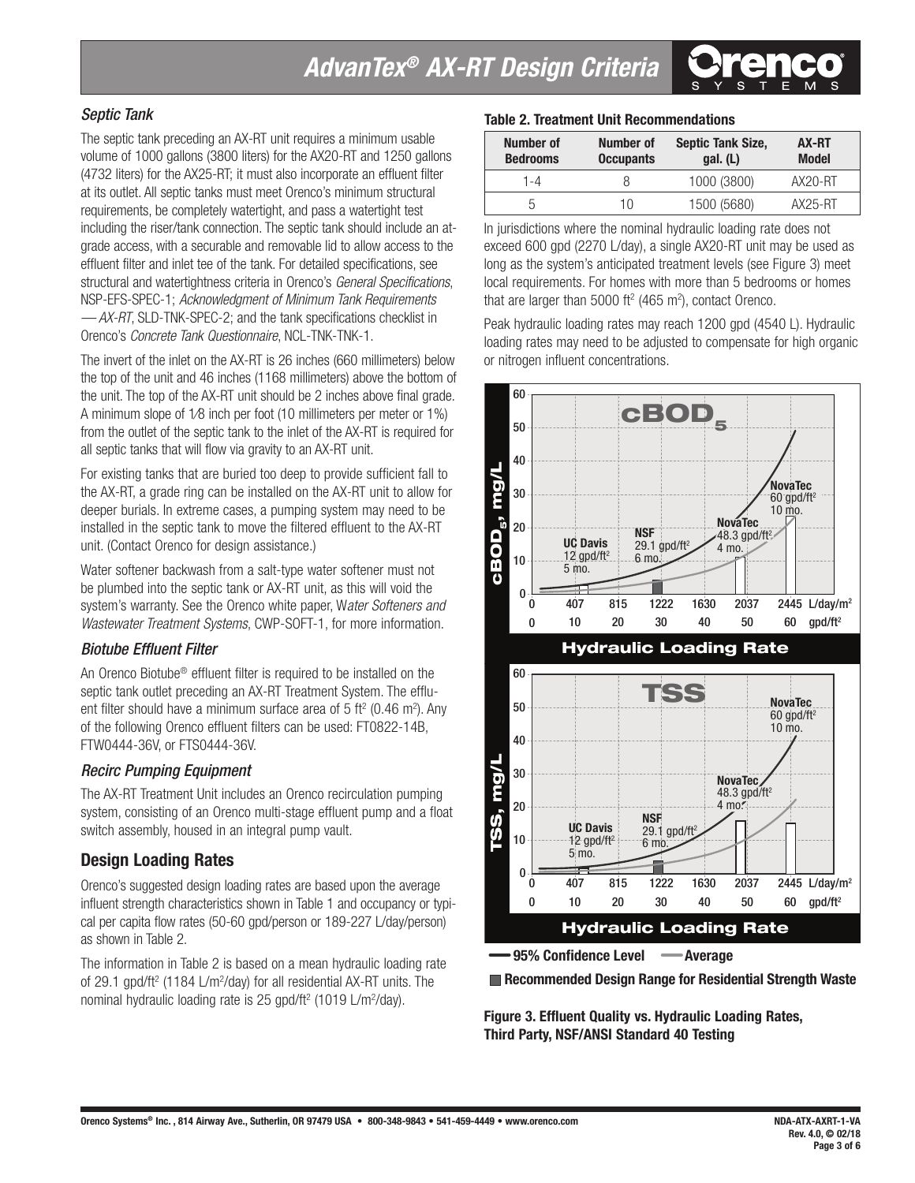#### *Septic Tank*

The septic tank preceding an AX-RT unit requires a minimum usable volume of 1000 gallons (3800 liters) for the AX20-RT and 1250 gallons (4732 liters) for the AX25-RT; it must also incorporate an effluent filter at its outlet. All septic tanks must meet Orenco's minimum structural requirements, be completely watertight, and pass a watertight test including the riser/tank connection. The septic tank should include an atgrade access, with a securable and removable lid to allow access to the effluent filter and inlet tee of the tank. For detailed specifications, see structural and watertightness criteria in Orenco's *General Specifications*, NSP-EFS-SPEC-1; *Acknowledgment of Minimum Tank Requirements — AX-RT*, SLD-TNK-SPEC-2; and the tank specifications checklist in Orenco's *Concrete Tank Questionnaire*, NCL-TNK-TNK-1.

The invert of the inlet on the AX-RT is 26 inches (660 millimeters) below the top of the unit and 46 inches (1168 millimeters) above the bottom of the unit. The top of the AX-RT unit should be 2 inches above final grade. A minimum slope of 1⁄8 inch per foot (10 millimeters per meter or 1%) from the outlet of the septic tank to the inlet of the AX-RT is required for all septic tanks that will flow via gravity to an AX-RT unit.

For existing tanks that are buried too deep to provide sufficient fall to the AX-RT, a grade ring can be installed on the AX-RT unit to allow for deeper burials. In extreme cases, a pumping system may need to be installed in the septic tank to move the filtered effluent to the AX-RT unit. (Contact Orenco for design assistance.)

Water softener backwash from a salt-type water softener must not be plumbed into the septic tank or AX-RT unit, as this will void the system's warranty. See the Orenco white paper, W*ater Softeners and Wastewater Treatment Systems*, CWP-SOFT-1, for more information.

#### *Biotube Effluent Filter*

An Orenco Biotube® effluent filter is required to be installed on the septic tank outlet preceding an AX-RT Treatment System. The effluent filter should have a minimum surface area of 5 ft<sup>2</sup> (0.46 m<sup>2</sup>). Any of the following Orenco effluent filters can be used: FT0822-14B, FTW0444-36V, or FTS0444-36V.

#### *Recirc Pumping Equipment*

The AX-RT Treatment Unit includes an Orenco recirculation pumping system, consisting of an Orenco multi-stage effluent pump and a float switch assembly, housed in an integral pump vault.

### **Design Loading Rates**

Orenco's suggested design loading rates are based upon the average influent strength characteristics shown in Table 1 and occupancy or typical per capita flow rates (50-60 gpd/person or 189-227 L/day/person) as shown in Table 2.

The information in Table 2 is based on a mean hydraulic loading rate of 29.1 gpd/ft<sup>2</sup> (1184 L/m<sup>2</sup>/day) for all residential AX-RT units. The nominal hydraulic loading rate is 25 gpd/ft<sup>2</sup> (1019 L/m<sup>2</sup>/day).

#### **Table 2. Treatment Unit Recommendations**

| Number of<br><b>Bedrooms</b> | Number of<br><b>Occupants</b> | <b>Septic Tank Size,</b><br>qal. (L) | AX-RT<br><b>Model</b> |
|------------------------------|-------------------------------|--------------------------------------|-----------------------|
| 1-4                          |                               | 1000 (3800)                          | $AX20-RT$             |
|                              | 10                            | 1500 (5680)                          | $AX25-RT$             |

In jurisdictions where the nominal hydraulic loading rate does not exceed 600 gpd (2270 L/day), a single AX20-RT unit may be used as long as the system's anticipated treatment levels (see Figure 3) meet local requirements. For homes with more than 5 bedrooms or homes that are larger than 5000 ft<sup>2</sup> (465 m<sup>2</sup>), contact Orenco.

Peak hydraulic loading rates may reach 1200 gpd (4540 L). Hydraulic loading rates may need to be adjusted to compensate for high organic or nitrogen influent concentrations.



**Recommended Design Range for Residential Strength Waste**

**Figure 3. Effluent Quality vs. Hydraulic Loading Rates, Third Party, NSF/ANSI Standard 40 Testing**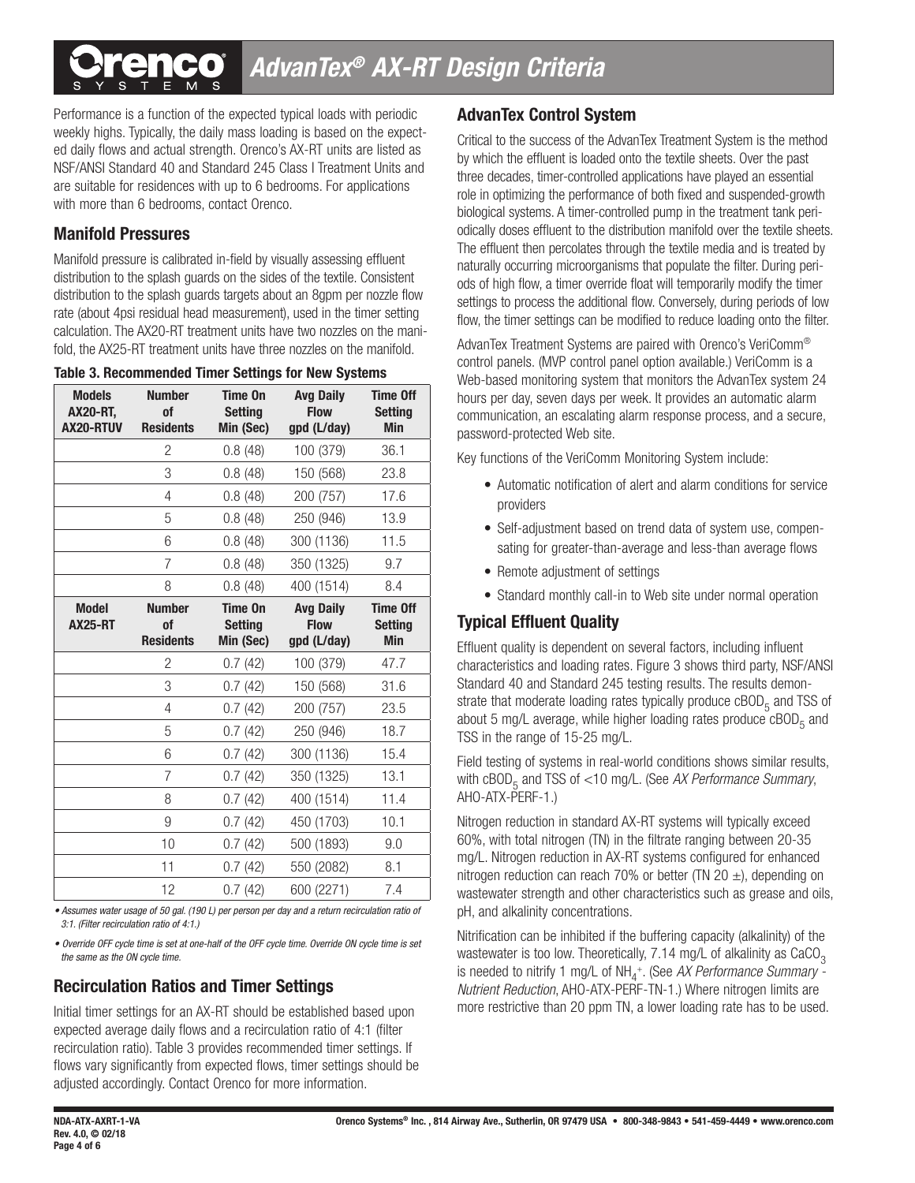# *AdvanTex® AX-RT Design Criteria*

Performance is a function of the expected typical loads with periodic weekly highs. Typically, the daily mass loading is based on the expected daily flows and actual strength. Orenco's AX-RT units are listed as NSF/ANSI Standard 40 and Standard 245 Class I Treatment Units and are suitable for residences with up to 6 bedrooms. For applications with more than 6 bedrooms, contact Orenco.

### **Manifold Pressures**

Manifold pressure is calibrated in-field by visually assessing effluent distribution to the splash guards on the sides of the textile. Consistent distribution to the splash guards targets about an 8gpm per nozzle flow rate (about 4psi residual head measurement), used in the timer setting calculation. The AX20-RT treatment units have two nozzles on the manifold, the AX25-RT treatment units have three nozzles on the manifold.

|  | <b>Table 3. Recommended Timer Settings for New Systems</b> |  |  |  |  |
|--|------------------------------------------------------------|--|--|--|--|
|--|------------------------------------------------------------|--|--|--|--|

| <b>Models</b><br><b>AX20-RT,</b><br>AX20-RTUV | <b>Number</b><br><b>of</b><br><b>Residents</b> | Time On<br><b>Setting</b><br>Min (Sec) | <b>Avg Daily</b><br><b>Flow</b><br>gpd (L/day) | <b>Time Off</b><br><b>Setting</b><br><b>Min</b> |
|-----------------------------------------------|------------------------------------------------|----------------------------------------|------------------------------------------------|-------------------------------------------------|
|                                               | 2                                              | 0.8(48)                                | 100 (379)                                      | 36.1                                            |
|                                               | 3                                              | 0.8(48)                                | 150 (568)                                      | 23.8                                            |
|                                               | 4                                              | 0.8(48)                                | 200 (757)                                      | 17.6                                            |
|                                               | 5                                              | 0.8(48)                                | 250 (946)                                      | 13.9                                            |
|                                               | 6                                              | 0.8(48)                                | 300 (1136)                                     | 11.5                                            |
|                                               | $\overline{7}$                                 | 0.8(48)                                | 350 (1325)                                     | 9.7                                             |
|                                               | 8                                              | 0.8(48)                                | 400 (1514)                                     | 8.4                                             |
| <b>Model</b><br><b>AX25-RT</b>                | <b>Number</b><br><b>of</b><br><b>Residents</b> | Time On<br><b>Setting</b><br>Min (Sec) | <b>Avg Daily</b><br><b>Flow</b><br>gpd (L/day) | <b>Time Off</b><br><b>Setting</b><br><b>Min</b> |
|                                               | $\overline{c}$                                 | 0.7(42)                                | 100 (379)                                      | 47.7                                            |
|                                               | 3                                              | 0.7(42)                                | 150 (568)                                      | 31.6                                            |
|                                               | 4                                              | 0.7(42)                                | 200 (757)                                      | 23.5                                            |
|                                               | 5                                              | 0.7(42)                                | 250 (946)                                      | 18.7                                            |
|                                               | 6                                              | 0.7(42)                                | 300 (1136)                                     | 15.4                                            |
|                                               | $\overline{7}$                                 | 0.7(42)                                | 350 (1325)                                     | 13.1                                            |
|                                               | 8                                              | 0.7(42)                                | 400 (1514)                                     | 11.4                                            |
|                                               | 9                                              | 0.7(42)                                | 450 (1703)                                     | 10.1                                            |
|                                               | 10                                             | 0.7(42)                                | 500 (1893)                                     | 9.0                                             |
|                                               | 11                                             | 0.7(42)                                | 550 (2082)                                     | 8.1                                             |
|                                               | 12                                             | 0.7(42)                                | 600 (2271)                                     | 7.4                                             |

*• Assumes water usage of 50 gal. (190 L) per person per day and a return recirculation ratio of 3:1. (Filter recirculation ratio of 4:1.)*

*• Override OFF cycle time is set at one-half of the OFF cycle time. Override ON cycle time is set the same as the ON cycle time.*

# **Recirculation Ratios and Timer Settings**

Initial timer settings for an AX-RT should be established based upon expected average daily flows and a recirculation ratio of 4:1 (filter recirculation ratio). Table 3 provides recommended timer settings. If flows vary significantly from expected flows, timer settings should be adjusted accordingly. Contact Orenco for more information.

## **AdvanTex Control System**

Critical to the success of the AdvanTex Treatment System is the method by which the effluent is loaded onto the textile sheets. Over the past three decades, timer-controlled applications have played an essential role in optimizing the performance of both fixed and suspended-growth biological systems. A timer-controlled pump in the treatment tank periodically doses effluent to the distribution manifold over the textile sheets. The effluent then percolates through the textile media and is treated by naturally occurring microorganisms that populate the filter. During periods of high flow, a timer override float will temporarily modify the timer settings to process the additional flow. Conversely, during periods of low flow, the timer settings can be modified to reduce loading onto the filter.

AdvanTex Treatment Systems are paired with Orenco's VeriComm® control panels. (MVP control panel option available.) VeriComm is a Web-based monitoring system that monitors the AdvanTex system 24 hours per day, seven days per week. It provides an automatic alarm communication, an escalating alarm response process, and a secure, password-protected Web site.

Key functions of the VeriComm Monitoring System include:

- Automatic notification of alert and alarm conditions for service providers
- Self-adjustment based on trend data of system use, compensating for greater-than-average and less-than average flows
- Remote adjustment of settings
- Standard monthly call-in to Web site under normal operation

# **Typical Effluent Quality**

Effluent quality is dependent on several factors, including influent characteristics and loading rates. Figure 3 shows third party, NSF/ANSI Standard 40 and Standard 245 testing results. The results demonstrate that moderate loading rates typically produce  $cBOD<sub>5</sub>$  and TSS of about 5 mg/L average, while higher loading rates produce  $\text{cBOD}_5$  and TSS in the range of 15-25 mg/L.

Field testing of systems in real-world conditions shows similar results, with cBOD<sub>5</sub> and TSS of <10 mg/L. (See AX Performance Summary, AHO-ATX-PERF-1.)

Nitrogen reduction in standard AX-RT systems will typically exceed 60%, with total nitrogen (TN) in the filtrate ranging between 20-35 mg/L. Nitrogen reduction in AX-RT systems configured for enhanced nitrogen reduction can reach 70% or better (TN 20  $\pm$ ), depending on wastewater strength and other characteristics such as grease and oils, pH, and alkalinity concentrations.

Nitrification can be inhibited if the buffering capacity (alkalinity) of the wastewater is too low. Theoretically,  $7.14$  mg/L of alkalinity as  $CaCO<sub>2</sub>$ is needed to nitrify 1 mg/L of NH<sub>4</sub><sup>+</sup>. (See *AX Performance Summary -Nutrient Reduction*, AHO-ATX-PERF-TN-1.) Where nitrogen limits are more restrictive than 20 ppm TN, a lower loading rate has to be used.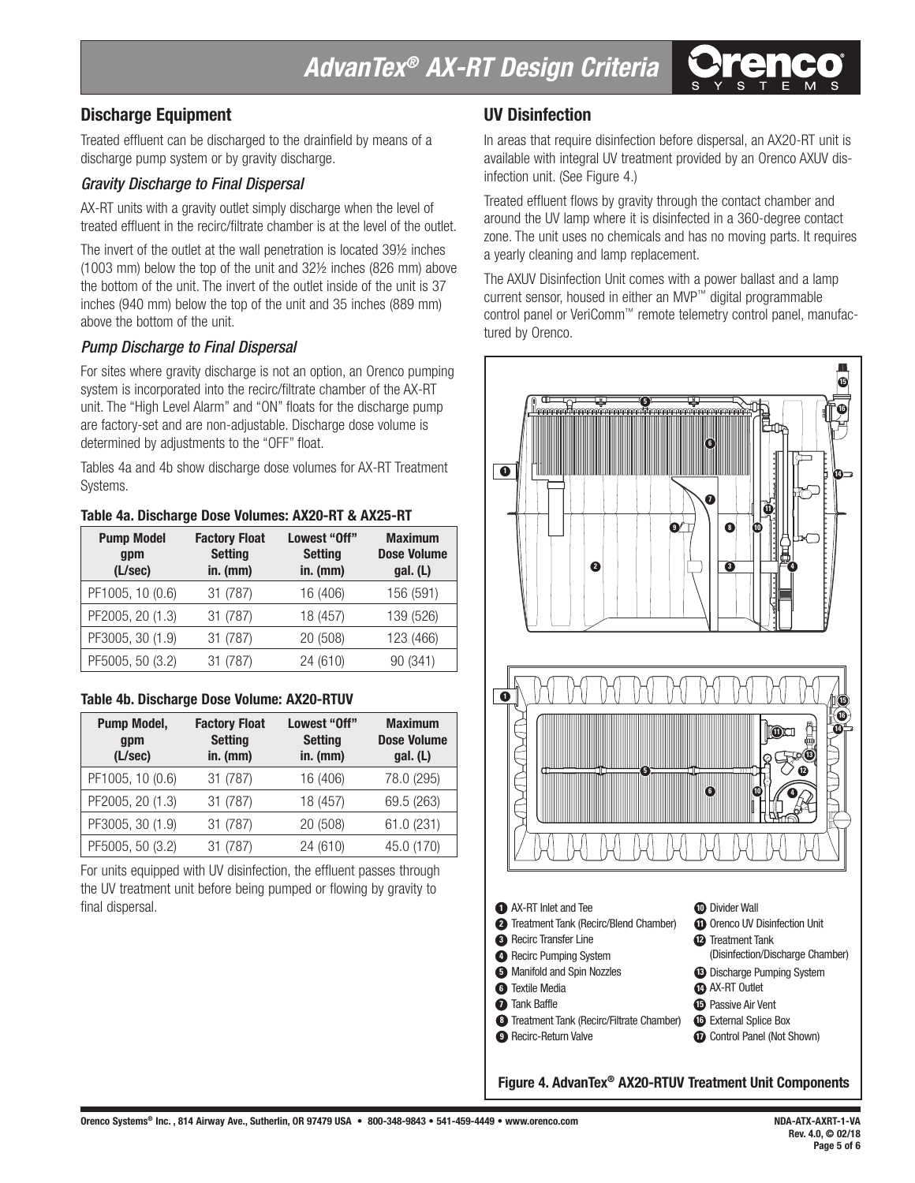# *AdvanTex® AX-RT Design Criteria*

### **Discharge Equipment**

Treated effluent can be discharged to the drainfield by means of a discharge pump system or by gravity discharge.

#### *Gravity Discharge to Final Dispersal*

AX-RT units with a gravity outlet simply discharge when the level of treated effluent in the recirc/filtrate chamber is at the level of the outlet.

The invert of the outlet at the wall penetration is located 39½ inches (1003 mm) below the top of the unit and 32½ inches (826 mm) above the bottom of the unit. The invert of the outlet inside of the unit is 37 inches (940 mm) below the top of the unit and 35 inches (889 mm) above the bottom of the unit.

#### *Pump Discharge to Final Dispersal*

For sites where gravity discharge is not an option, an Orenco pumping system is incorporated into the recirc/filtrate chamber of the AX-RT unit. The "High Level Alarm" and "ON" floats for the discharge pump are factory-set and are non-adjustable. Discharge dose volume is determined by adjustments to the "OFF" float.

Tables 4a and 4b show discharge dose volumes for AX-RT Treatment Systems.

#### **Table 4a. Discharge Dose Volumes: AX20-RT & AX25-RT**

| <b>Pump Model</b><br>gpm<br>(L/sec) | <b>Factory Float</b><br><b>Setting</b><br>in. $(mm)$ | Lowest "Off"<br><b>Setting</b><br>$in.$ (mm) | <b>Maximum</b><br><b>Dose Volume</b><br>gal. (L) |
|-------------------------------------|------------------------------------------------------|----------------------------------------------|--------------------------------------------------|
| PF1005, 10 (0.6)                    | 31 (787)                                             | 16 (406)                                     | 156 (591)                                        |
| PF2005, 20 (1.3)                    | 31 (787)                                             | 18 (457)                                     | 139 (526)                                        |
| PF3005, 30 (1.9)                    | 31 (787)                                             | 20 (508)                                     | 123 (466)                                        |
| PF5005, 50 (3.2)                    | 31 (787)                                             | 24 (610)                                     | 90 (341)                                         |

#### **Table 4b. Discharge Dose Volume: AX20-RTUV**

| <b>Pump Model,</b><br>gpm<br>(L/sec) | <b>Factory Float</b><br><b>Setting</b><br>in. $(mm)$ | Lowest "Off"<br><b>Setting</b><br>$in.$ (mm) | <b>Maximum</b><br><b>Dose Volume</b><br>gal. (L) |
|--------------------------------------|------------------------------------------------------|----------------------------------------------|--------------------------------------------------|
| PF1005, 10 (0.6)                     | 31 (787)                                             | 16 (406)                                     | 78.0 (295)                                       |
| PF2005, 20 (1.3)                     | 31 (787)                                             | 18 (457)                                     | 69.5 (263)                                       |
| PF3005, 30 (1.9)                     | 31 (787)                                             | 20 (508)                                     | 61.0 (231)                                       |
| PF5005, 50 (3.2)                     | 31 (787)                                             | 24 (610)                                     | 45.0 (170)                                       |

For units equipped with UV disinfection, the effluent passes through the UV treatment unit before being pumped or flowing by gravity to final dispersal.

#### **UV Disinfection**

In areas that require disinfection before dispersal, an AX20-RT unit is available with integral UV treatment provided by an Orenco AXUV disinfection unit. (See Figure 4.)

Treated effluent flows by gravity through the contact chamber and around the UV lamp where it is disinfected in a 360-degree contact zone. The unit uses no chemicals and has no moving parts. It requires a yearly cleaning and lamp replacement.

The AXUV Disinfection Unit comes with a power ballast and a lamp current sensor, housed in either an MVP™ digital programmable control panel or VeriComm™ remote telemetry control panel, manufactured by Orenco.